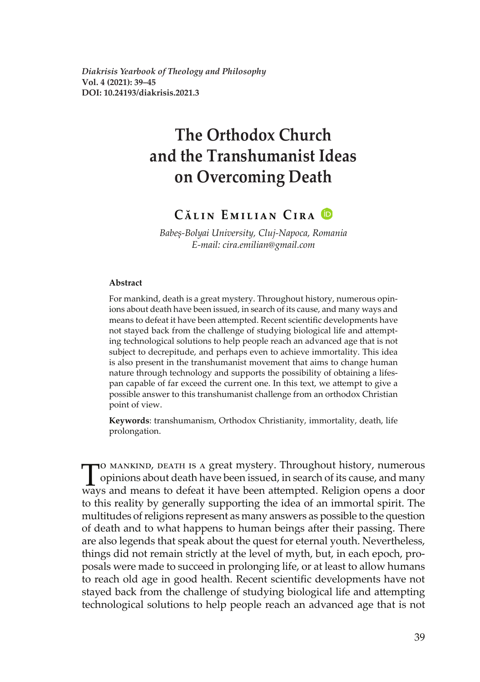*Diakrisis Yearbook of Theology and Philosophy* **Vol. 4 (2021): 39–45 DOI: 10.24193/diakrisis.2021.3**

# **The Orthodox Church and the Transhumanist Ideas on Overcoming Death**

# **Călin Emilian Cira**

*Babeș-Bolyai University, Cluj-Napoca, Romania E-mail: cira.emilian@gmail.com*

#### **Abstract**

For mankind, death is a great mystery. Throughout history, numerous opinions about death have been issued, in search of its cause, and many ways and means to defeat it have been attempted. Recent scientific developments have not stayed back from the challenge of studying biological life and attempting technological solutions to help people reach an advanced age that is not subject to decrepitude, and perhaps even to achieve immortality. This idea is also present in the transhumanist movement that aims to change human nature through technology and supports the possibility of obtaining a lifespan capable of far exceed the current one. In this text, we attempt to give a possible answer to this transhumanist challenge from an orthodox Christian point of view.

**Keywords**: transhumanism, Orthodox Christianity, immortality, death, life prolongation.

To MANKIND, DEATH IS A great mystery. Throughout history, numerous<br>opinions about death have been issued, in search of its cause, and many<br>ways and means to defeat it have been attempted. Religion opens a door opinions about death have been issued, in search of its cause, and many ways and means to defeat it have been attempted. Religion opens a door to this reality by generally supporting the idea of an immortal spirit. The multitudes of religions represent as many answers as possible to the question of death and to what happens to human beings after their passing. There are also legends that speak about the quest for eternal youth. Nevertheless, things did not remain strictly at the level of myth, but, in each epoch, proposals were made to succeed in prolonging life, or at least to allow humans to reach old age in good health. Recent scientific developments have not stayed back from the challenge of studying biological life and attempting technological solutions to help people reach an advanced age that is not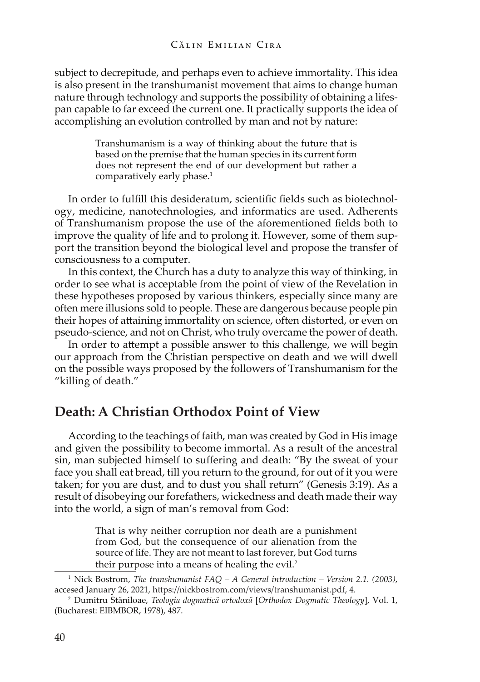subject to decrepitude, and perhaps even to achieve immortality. This idea is also present in the transhumanist movement that aims to change human nature through technology and supports the possibility of obtaining a lifespan capable to far exceed the current one. It practically supports the idea of accomplishing an evolution controlled by man and not by nature:

> Transhumanism is a way of thinking about the future that is based on the premise that the human species in its current form does not represent the end of our development but rather a comparatively early phase.<sup>1</sup>

In order to fulfill this desideratum, scientific fields such as biotechnology, medicine, nanotechnologies, and informatics are used. Adherents of Transhumanism propose the use of the aforementioned fields both to improve the quality of life and to prolong it. However, some of them support the transition beyond the biological level and propose the transfer of consciousness to a computer.

In this context, the Church has a duty to analyze this way of thinking, in order to see what is acceptable from the point of view of the Revelation in these hypotheses proposed by various thinkers, especially since many are often mere illusions sold to people. These are dangerous because people pin their hopes of attaining immortality on science, often distorted, or even on pseudo-science, and not on Christ, who truly overcame the power of death.

In order to attempt a possible answer to this challenge, we will begin our approach from the Christian perspective on death and we will dwell on the possible ways proposed by the followers of Transhumanism for the "killing of death."

## **Death: A Christian Orthodox Point of View**

According to the teachings of faith, man was created by God in His image and given the possibility to become immortal. As a result of the ancestral sin, man subjected himself to suffering and death: "By the sweat of your face you shall eat bread, till you return to the ground, for out of it you were taken; for you are dust, and to dust you shall return" (Genesis 3:19). As a result of disobeying our forefathers, wickedness and death made their way into the world, a sign of man's removal from God:

> That is why neither corruption nor death are a punishment from God, but the consequence of our alienation from the source of life. They are not meant to last forever, but God turns their purpose into a means of healing the evil.<sup>2</sup>

<sup>1</sup>Nick Bostrom, *The transhumanist FAQ – A General introduction – Version 2.1. (2003)*, accesed January 26, 2021, https://nickbostrom.com/views/transhumanist.pdf[,](https://nickbostrom.com/views/transhumanist.pdf) 4. 2 Dumitru Stăniloae, *Teologia dogmatică ortodoxă* [*Orthodox Dogmatic Theology*], Vol. 1,

<sup>(</sup>Bucharest: EIBMBOR, 1978), 487.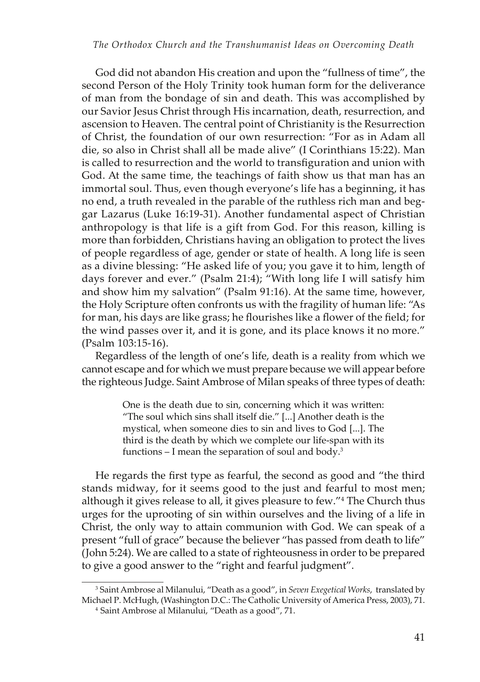God did not abandon His creation and upon the "fullness of time", the second Person of the Holy Trinity took human form for the deliverance of man from the bondage of sin and death. This was accomplished by our Savior Jesus Christ through His incarnation, death, resurrection, and ascension to Heaven. The central point of Christianity is the Resurrection of Christ, the foundation of our own resurrection: "For as in Adam all die, so also in Christ shall all be made alive" (I Corinthians 15:22). Man is called to resurrection and the world to transfiguration and union with God. At the same time, the teachings of faith show us that man has an immortal soul. Thus, even though everyone's life has a beginning, it has no end, a truth revealed in the parable of the ruthless rich man and beggar Lazarus (Luke 16:19-31). Another fundamental aspect of Christian anthropology is that life is a gift from God. For this reason, killing is more than forbidden, Christians having an obligation to protect the lives of people regardless of age, gender or state of health. A long life is seen as a divine blessing: "He asked life of you; you gave it to him, length of days forever and ever." (Psalm 21:4); "With long life I will satisfy him and show him my salvation" (Psalm 91:16). At the same time, however, the Holy Scripture often confronts us with the fragility of human life: "As for man, his days are like grass; he flourishes like a flower of the field; for the wind passes over it, and it is gone, and its place knows it no more." (Psalm 103:15-16).

Regardless of the length of one's life, death is a reality from which we cannot escape and for which we must prepare because we will appear before the righteous Judge. Saint Ambrose of Milan speaks of three types of death:

> One is the death due to sin, concerning which it was written: "The soul which sins shall itself die." [...] Another death is the mystical, when someone dies to sin and lives to God [...]. The third is the death by which we complete our life-span with its functions  $-$  I mean the separation of soul and body.<sup>3</sup>

He regards the first type as fearful, the second as good and "the third stands midway, for it seems good to the just and fearful to most men; although it gives release to all, it gives pleasure to few."<sup>4</sup> The Church thus urges for the uprooting of sin within ourselves and the living of a life in Christ, the only way to attain communion with God. We can speak of a present "full of grace" because the believer "has passed from death to life" (John 5:24). We are called to a state of righteousness in order to be prepared to give a good answer to the "right and fearful judgment".

<sup>3</sup>Saint Ambrose al Milanului, "Death as a good", in *Seven Exegetical Works*, translated by Michael P. McHugh, (Washington D.C.: The Catholic University of America Press, 2003), 71.

<sup>4</sup> Saint Ambrose al Milanului, "Death as a good", 71.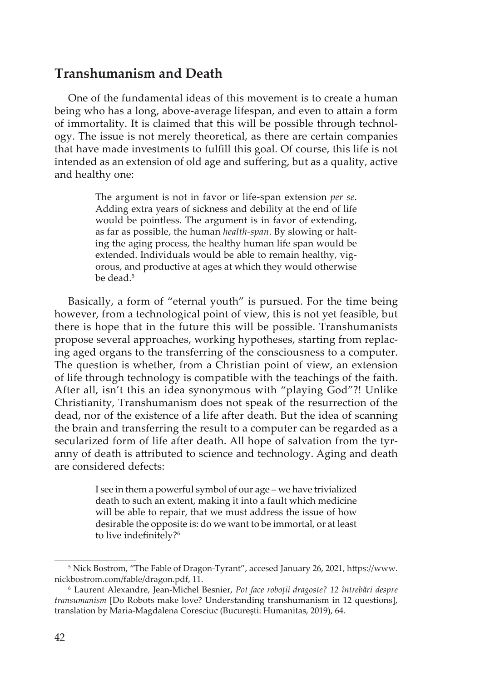# **Transhumanism and Death**

One of the fundamental ideas of this movement is to create a human being who has a long, above-average lifespan, and even to attain a form of immortality. It is claimed that this will be possible through technology. The issue is not merely theoretical, as there are certain companies that have made investments to fulfill this goal. Of course, this life is not intended as an extension of old age and suffering, but as a quality, active and healthy one:

> The argument is not in favor or life-span extension *per se*. Adding extra years of sickness and debility at the end of life would be pointless. The argument is in favor of extending, as far as possible, the human *health-span*. By slowing or halting the aging process, the healthy human life span would be extended. Individuals would be able to remain healthy, vigorous, and productive at ages at which they would otherwise be dead.<sup>5</sup>

Basically, a form of "eternal youth" is pursued. For the time being however, from a technological point of view, this is not yet feasible, but there is hope that in the future this will be possible. Transhumanists propose several approaches, working hypotheses, starting from replacing aged organs to the transferring of the consciousness to a computer. The question is whether, from a Christian point of view, an extension of life through technology is compatible with the teachings of the faith. After all, isn't this an idea synonymous with "playing God"?! Unlike Christianity, Transhumanism does not speak of the resurrection of the dead, nor of the existence of a life after death. But the idea of scanning the brain and transferring the result to a computer can be regarded as a secularized form of life after death. All hope of salvation from the tyranny of death is attributed to science and technology. Aging and death are considered defects:

> I see in them a powerful symbol of our age – we have trivialized death to such an extent, making it into a fault which medicine will be able to repair, that we must address the issue of how desirable the opposite is: do we want to be immortal, or at least to live indefinitely?<sup>6</sup>

<sup>5</sup> Nick Bostrom, "The Fable of Dragon-Tyrant", accesed January 26, 2021, [https://www.](https://www.nickbostrom.com/fable/dragon.pdf) [nickbostrom.com/fable/dragon.pdf](https://www.nickbostrom.com/fable/dragon.pdf), 11.

<sup>6</sup>Laurent Alexandre, Jean-Michel Besnier, *Pot face roboții dragoste? 12 întrebări despre transumanism* [Do Robots make love? Understanding transhumanism in 12 questions], translation by Maria-Magdalena Coresciuc (București: Humanitas, 2019), 64.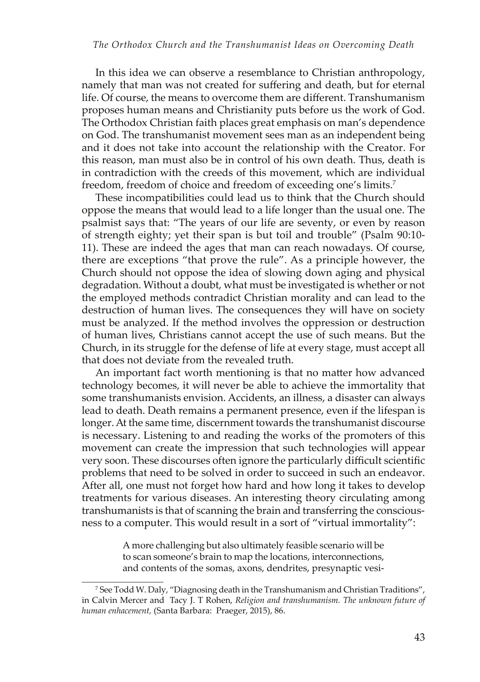In this idea we can observe a resemblance to Christian anthropology, namely that man was not created for suffering and death, but for eternal life. Of course, the means to overcome them are different. Transhumanism proposes human means and Christianity puts before us the work of God. The Orthodox Christian faith places great emphasis on man's dependence on God. The transhumanist movement sees man as an independent being and it does not take into account the relationship with the Creator. For this reason, man must also be in control of his own death. Thus, death is in contradiction with the creeds of this movement, which are individual freedom, freedom of choice and freedom of exceeding one's limits.7

These incompatibilities could lead us to think that the Church should oppose the means that would lead to a life longer than the usual one. The psalmist says that: "The years of our life are seventy, or even by reason of strength eighty; yet their span is but toil and trouble" (Psalm 90:10- 11). These are indeed the ages that man can reach nowadays. Of course, there are exceptions "that prove the rule". As a principle however, the Church should not oppose the idea of slowing down aging and physical degradation. Without a doubt, what must be investigated is whether or not the employed methods contradict Christian morality and can lead to the destruction of human lives. The consequences they will have on society must be analyzed. If the method involves the oppression or destruction of human lives, Christians cannot accept the use of such means. But the Church, in its struggle for the defense of life at every stage, must accept all that does not deviate from the revealed truth.

An important fact worth mentioning is that no matter how advanced technology becomes, it will never be able to achieve the immortality that some transhumanists envision. Accidents, an illness, a disaster can always lead to death. Death remains a permanent presence, even if the lifespan is longer. At the same time, discernment towards the transhumanist discourse is necessary. Listening to and reading the works of the promoters of this movement can create the impression that such technologies will appear very soon. These discourses often ignore the particularly difficult scientific problems that need to be solved in order to succeed in such an endeavor. After all, one must not forget how hard and how long it takes to develop treatments for various diseases. An interesting theory circulating among transhumanists is that of scanning the brain and transferring the consciousness to a computer. This would result in a sort of "virtual immortality":

> A more challenging but also ultimately feasible scenario will be to scan someone's brain to map the locations, interconnections, and contents of the somas, axons, dendrites, presynaptic vesi-

<sup>7</sup> See Todd W. Daly, "Diagnosing death in the Transhumanism and Christian Traditions", in Calvin Mercer and Tacy J. T Rohen, *Religion and transhumanism. The unknown future of human enhacement,* (Santa Barbara: Praeger, 2015), 86.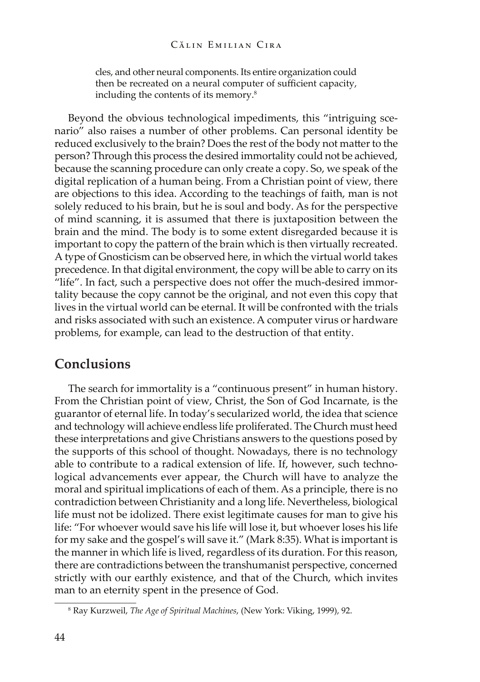#### Călin Emilian Cira

cles, and other neural components. Its entire organization could then be recreated on a neural computer of sufficient capacity, including the contents of its memory.<sup>8</sup>

Beyond the obvious technological impediments, this "intriguing scenario" also raises a number of other problems. Can personal identity be reduced exclusively to the brain? Does the rest of the body not matter to the person? Through this process the desired immortality could not be achieved, because the scanning procedure can only create a copy. So, we speak of the digital replication of a human being. From a Christian point of view, there are objections to this idea. According to the teachings of faith, man is not solely reduced to his brain, but he is soul and body. As for the perspective of mind scanning, it is assumed that there is juxtaposition between the brain and the mind. The body is to some extent disregarded because it is important to copy the pattern of the brain which is then virtually recreated. A type of Gnosticism can be observed here, in which the virtual world takes precedence. In that digital environment, the copy will be able to carry on its "life". In fact, such a perspective does not offer the much-desired immortality because the copy cannot be the original, and not even this copy that lives in the virtual world can be eternal. It will be confronted with the trials and risks associated with such an existence. A computer virus or hardware problems, for example, can lead to the destruction of that entity.

### **Conclusions**

The search for immortality is a "continuous present" in human history. From the Christian point of view, Christ, the Son of God Incarnate, is the guarantor of eternal life. In today's secularized world, the idea that science and technology will achieve endless life proliferated. The Church must heed these interpretations and give Christians answers to the questions posed by the supports of this school of thought. Nowadays, there is no technology able to contribute to a radical extension of life. If, however, such technological advancements ever appear, the Church will have to analyze the moral and spiritual implications of each of them. As a principle, there is no contradiction between Christianity and a long life. Nevertheless, biological life must not be idolized. There exist legitimate causes for man to give his life: "For whoever would save his life will lose it, but whoever loses his life for my sake and the gospel's will save it." (Mark 8:35). What is important is the manner in which life is lived, regardless of its duration. For this reason, there are contradictions between the transhumanist perspective, concerned strictly with our earthly existence, and that of the Church, which invites man to an eternity spent in the presence of God.

<sup>8</sup> Ray Kurzweil, *The Age of Spiritual Machines*, (New York: Viking, 1999), 92.